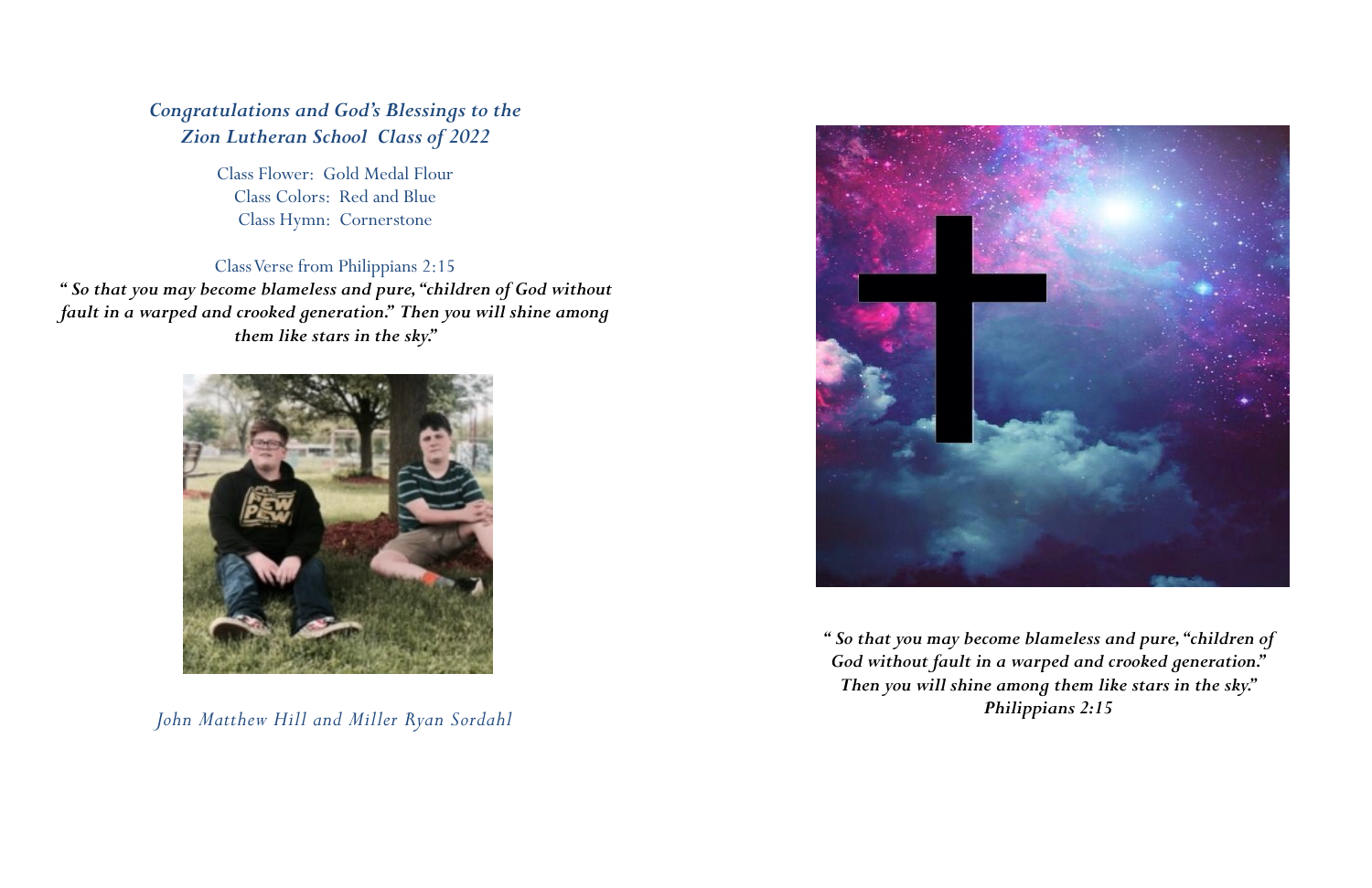*" So that you may become blameless and pure, "children of God without fault in a warped and crooked generation." Then you will shine among them like stars in the sky." Philippians 2:15*

# *Congratulations and God's Blessings to the Zion Lutheran School Class of 2022*

Class Flower: Gold Medal Flour Class Colors: Red and Blue Class Hymn: Cornerstone

# Class Verse from Philippians 2:15

*" So that you may become blameless and pure, "children of God without fault in a warped and crooked generation." Then you will shine among them like stars in the sky."*



*John Matthew Hill and Miller Ryan Sordahl*

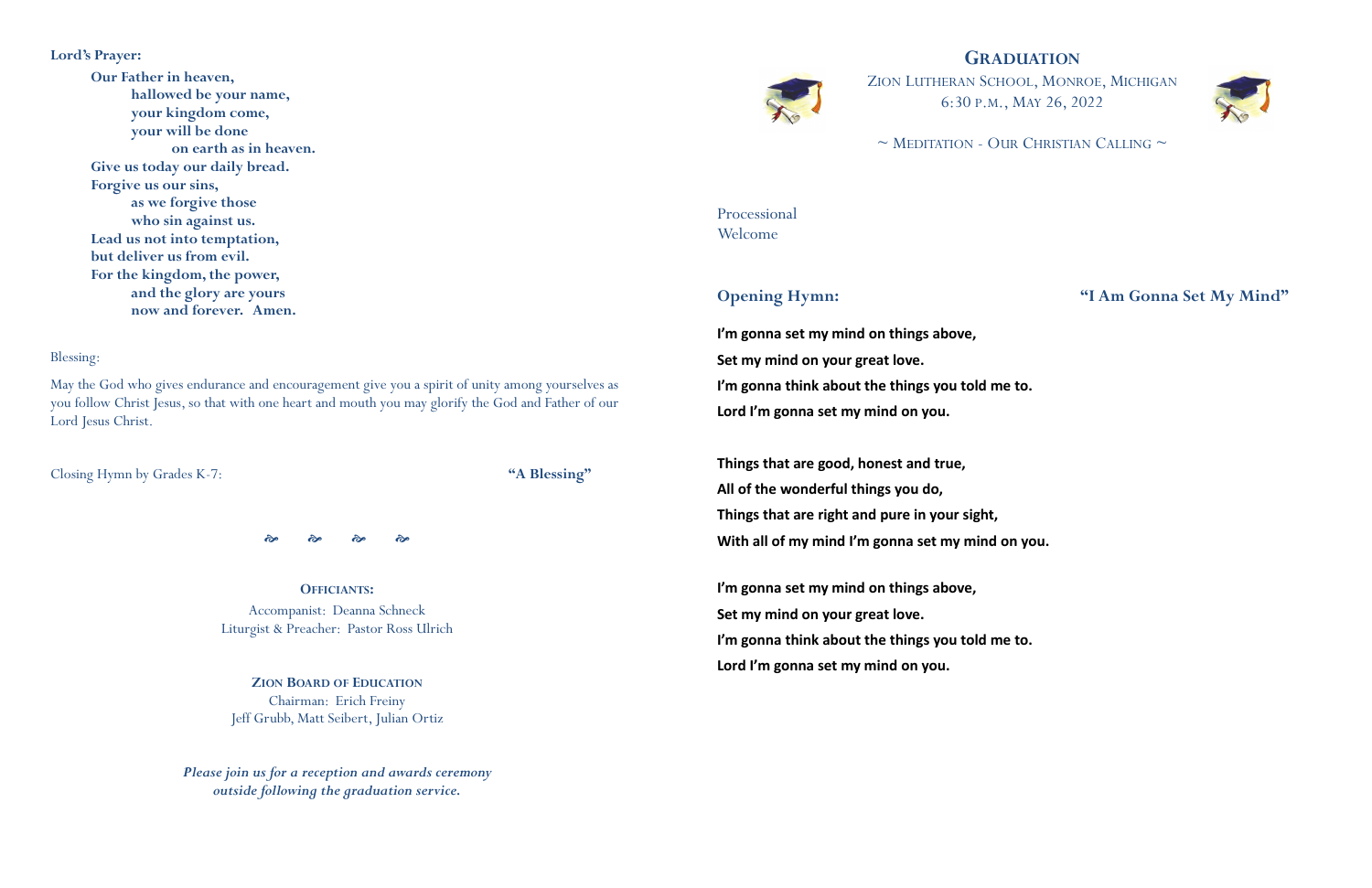## **GRADUATION**



 $\sim$  MEDITATION - OUR CHRISTIAN CALLING  $\sim$ 

ZION LUTHERAN SCHOOL, MONROE, MICHIGAN 6:30 P.M., MAY 26, 2022

Processional Welcome

## **Opening Hymn: "I Am Gonna Set My Mind"**

**I'm gonna set my mind on things above, Set my mind on your great love. I'm gonna think about the things you told me to. Lord I'm gonna set my mind on you.**

**Things that are good, honest and true, All of the wonderful things you do, Things that are right and pure in your sight, With all of my mind I'm gonna set my mind on you.**

**I'm gonna set my mind on things above, Set my mind on your great love. I'm gonna think about the things you told me to. Lord I'm gonna set my mind on you.**

### **Lord's Prayer:**

**Our Father in heaven, hallowed be your name, your kingdom come, your will be done on earth as in heaven. Give us today our daily bread. Forgive us our sins, as we forgive those who sin against us. Lead us not into temptation, but deliver us from evil. For the kingdom, the power, and the glory are yours now and forever. Amen.**

#### Blessing:

May the God who gives endurance and encouragement give you a spirit of unity among yourselves as you follow Christ Jesus, so that with one heart and mouth you may glorify the God and Father of our Lord Jesus Christ.

Closing Hymn by Grades K-7: **"A Blessing"**

જી જી જી જી

**OFFICIANTS:** Accompanist: Deanna Schneck Liturgist & Preacher: Pastor Ross Ulrich

**ZION BOARD OF EDUCATION** Chairman: Erich Freiny Jeff Grubb, Matt Seibert, Julian Ortiz

*Please join us for a reception and awards ceremony outside following the graduation service.*